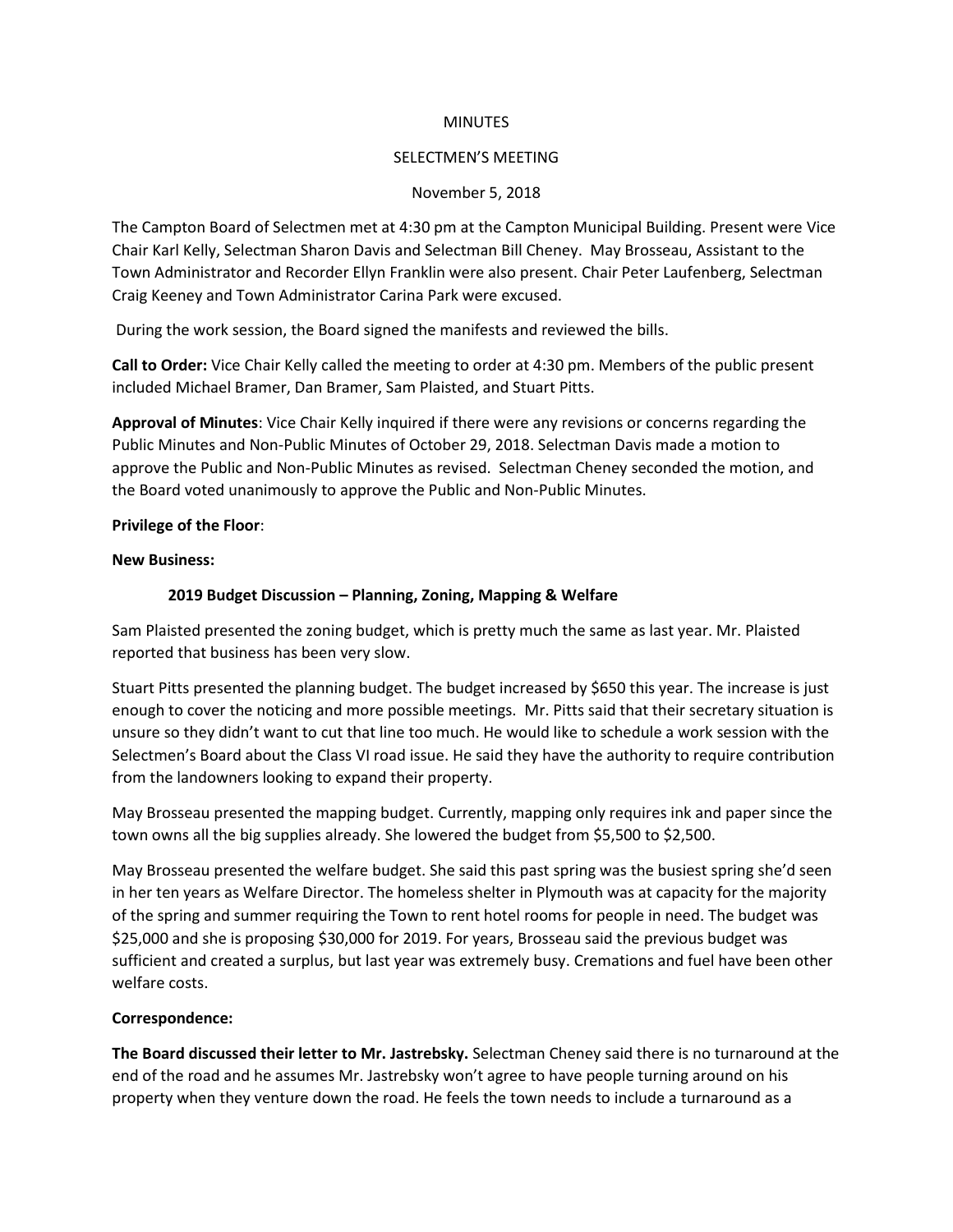#### **MINUTES**

#### SELECTMEN'S MEETING

### November 5, 2018

The Campton Board of Selectmen met at 4:30 pm at the Campton Municipal Building. Present were Vice Chair Karl Kelly, Selectman Sharon Davis and Selectman Bill Cheney. May Brosseau, Assistant to the Town Administrator and Recorder Ellyn Franklin were also present. Chair Peter Laufenberg, Selectman Craig Keeney and Town Administrator Carina Park were excused.

During the work session, the Board signed the manifests and reviewed the bills.

**Call to Order:** Vice Chair Kelly called the meeting to order at 4:30 pm. Members of the public present included Michael Bramer, Dan Bramer, Sam Plaisted, and Stuart Pitts.

**Approval of Minutes**: Vice Chair Kelly inquired if there were any revisions or concerns regarding the Public Minutes and Non-Public Minutes of October 29, 2018. Selectman Davis made a motion to approve the Public and Non-Public Minutes as revised. Selectman Cheney seconded the motion, and the Board voted unanimously to approve the Public and Non-Public Minutes.

#### **Privilege of the Floor**:

#### **New Business:**

## **2019 Budget Discussion – Planning, Zoning, Mapping & Welfare**

Sam Plaisted presented the zoning budget, which is pretty much the same as last year. Mr. Plaisted reported that business has been very slow.

Stuart Pitts presented the planning budget. The budget increased by \$650 this year. The increase is just enough to cover the noticing and more possible meetings. Mr. Pitts said that their secretary situation is unsure so they didn't want to cut that line too much. He would like to schedule a work session with the Selectmen's Board about the Class VI road issue. He said they have the authority to require contribution from the landowners looking to expand their property.

May Brosseau presented the mapping budget. Currently, mapping only requires ink and paper since the town owns all the big supplies already. She lowered the budget from \$5,500 to \$2,500.

May Brosseau presented the welfare budget. She said this past spring was the busiest spring she'd seen in her ten years as Welfare Director. The homeless shelter in Plymouth was at capacity for the majority of the spring and summer requiring the Town to rent hotel rooms for people in need. The budget was \$25,000 and she is proposing \$30,000 for 2019. For years, Brosseau said the previous budget was sufficient and created a surplus, but last year was extremely busy. Cremations and fuel have been other welfare costs.

## **Correspondence:**

**The Board discussed their letter to Mr. Jastrebsky.** Selectman Cheney said there is no turnaround at the end of the road and he assumes Mr. Jastrebsky won't agree to have people turning around on his property when they venture down the road. He feels the town needs to include a turnaround as a